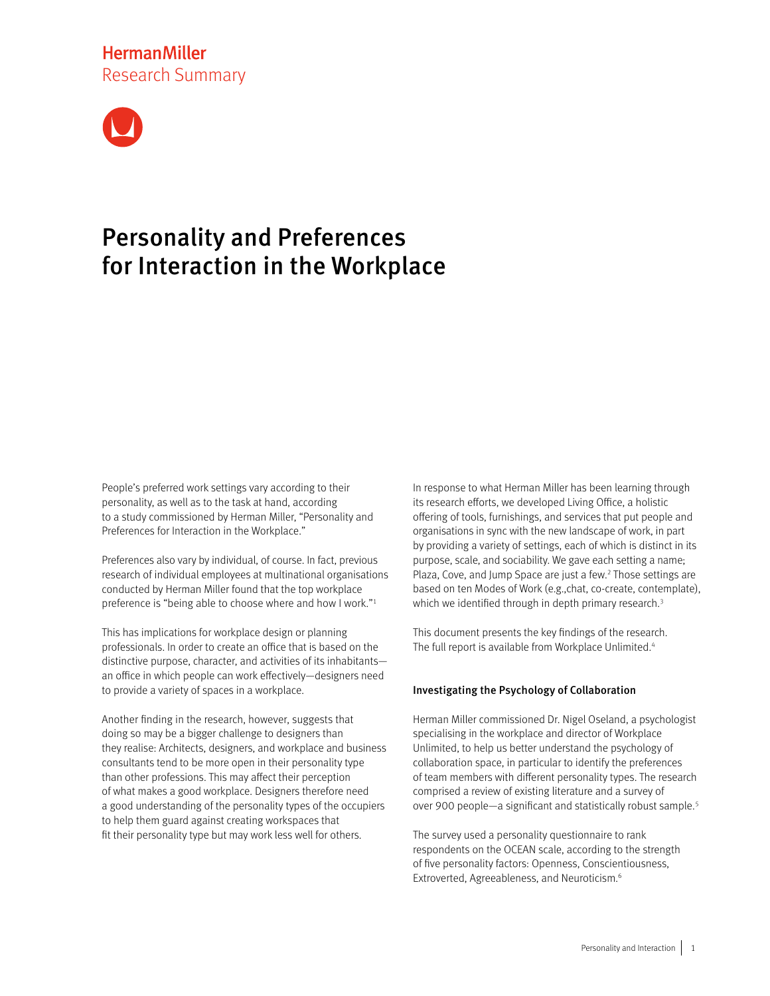# **HermanMiller** Research Summary



# Personality and Preferences for Interaction in the Workplace

People's preferred work settings vary according to their personality, as well as to the task at hand, according to a study commissioned by Herman Miller, "Personality and Preferences for Interaction in the Workplace."

Preferences also vary by individual, of course. In fact, previous research of individual employees at multinational organisations conducted by Herman Miller found that the top workplace preference is "being able to choose where and how I work."<sup>1</sup>

This has implications for workplace design or planning professionals. In order to create an office that is based on the distinctive purpose, character, and activities of its inhabitants an office in which people can work effectively—designers need to provide a variety of spaces in a workplace.

Another finding in the research, however, suggests that doing so may be a bigger challenge to designers than they realise: Architects, designers, and workplace and business consultants tend to be more open in their personality type than other professions. This may affect their perception of what makes a good workplace. Designers therefore need a good understanding of the personality types of the occupiers to help them guard against creating workspaces that fit their personality type but may work less well for others.

In response to what Herman Miller has been learning through its research efforts, we developed Living Office, a holistic offering of tools, furnishings, and services that put people and organisations in sync with the new landscape of work, in part by providing a variety of settings, each of which is distinct in its purpose, scale, and sociability. We gave each setting a name; Plaza, Cove, and Jump Space are just a few.<sup>2</sup> Those settings are based on ten Modes of Work (e.g.,chat, co-create, contemplate), which we identified through in depth primary research.<sup>3</sup>

This document presents the key findings of the research. The full report is available from Workplace Unlimited.<sup>4</sup>

## Investigating the Psychology of Collaboration

Herman Miller commissioned Dr. Nigel Oseland, a psychologist specialising in the workplace and director of Workplace Unlimited, to help us better understand the psychology of collaboration space, in particular to identify the preferences of team members with different personality types. The research comprised a review of existing literature and a survey of over 900 people—a significant and statistically robust sample. 5

The survey used a personality questionnaire to rank respondents on the OCEAN scale, according to the strength of five personality factors: Openness, Conscientiousness, Extroverted, Agreeableness, and Neuroticism.6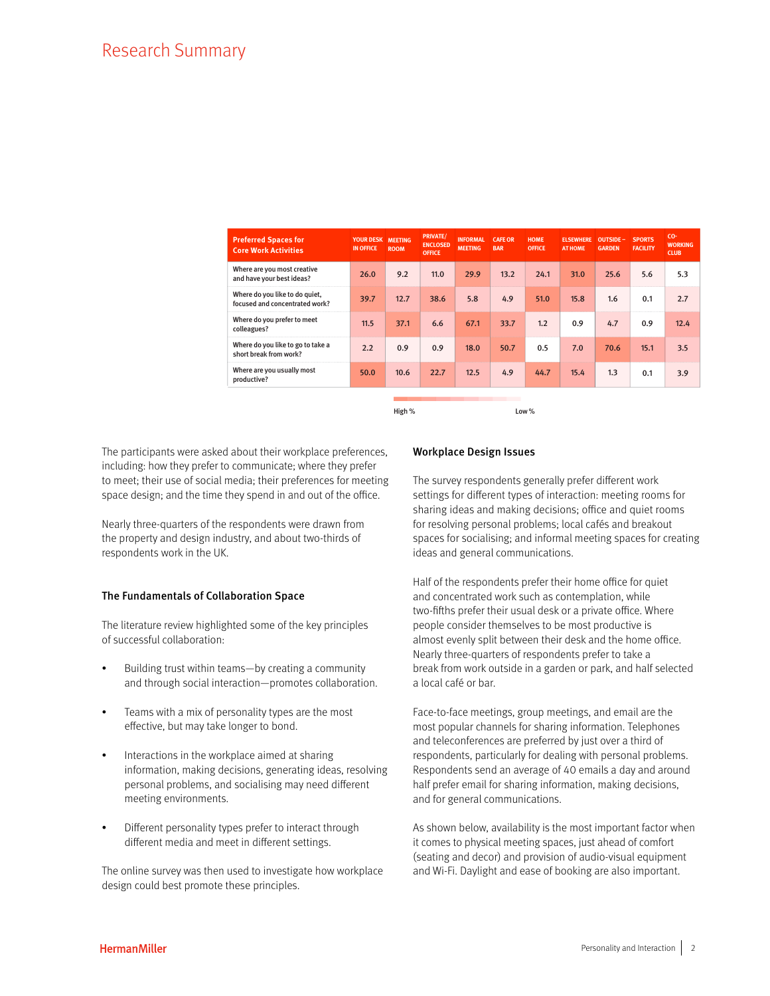| <b>Preferred Spaces for</b><br><b>Core Work Activities</b>       | YOUR DESK MEETING<br><b>IN OFFICE</b> | <b>ROOM</b> | <b>PRIVATE/</b><br><b>ENCLOSED</b><br><b>OFFICE</b> | <b>INFORMAL</b><br><b>MEETING</b> | <b>CAFE OR</b><br><b>BAR</b> | <b>HOME</b><br><b>OFFICE</b> | <b>ELSEWHERE</b><br><b>AT HOME</b> | OUTSIDE -<br><b>GARDEN</b> | <b>SPORTS</b><br><b>FACILITY</b> | CO-<br><b>WORKING</b><br><b>CLUB</b> |
|------------------------------------------------------------------|---------------------------------------|-------------|-----------------------------------------------------|-----------------------------------|------------------------------|------------------------------|------------------------------------|----------------------------|----------------------------------|--------------------------------------|
| Where are you most creative<br>and have your best ideas?         | 26.0                                  | 9.2         | 11.0                                                | 29.9                              | 13.2                         | 24.1                         | 31.0                               | 25.6                       | 5.6                              | 5.3                                  |
| Where do you like to do quiet,<br>focused and concentrated work? | 39.7                                  | 12.7        | 38.6                                                | 5.8                               | 4.9                          | 51.0                         | 15.8                               | 1.6                        | 0.1                              | 2.7                                  |
| Where do you prefer to meet<br>colleagues?                       | 11.5                                  | 37.1        | 6.6                                                 | 67.1                              | 33.7                         | 1.2                          | 0.9                                | 4.7                        | 0.9                              | 12.4                                 |
| Where do you like to go to take a<br>short break from work?      | 2.2                                   | 0.9         | 0.9                                                 | 18.0                              | 50.7                         | 0.5                          | 7.0                                | 70.6                       | 15.1                             | 3.5                                  |
| Where are you usually most<br>productive?                        | 50.0                                  | 10.6        | 22.7                                                | 12.5                              | 4.9                          | 44.7                         | 15.4                               | 1.3                        | 0.1                              | 3.9                                  |

High % Low %

The participants were asked about their workplace preferences, including: how they prefer to communicate; where they prefer to meet; their use of social media; their preferences for meeting space design; and the time they spend in and out of the office.

Nearly three-quarters of the respondents were drawn from the property and design industry, and about two-thirds of respondents work in the UK.

## The Fundamentals of Collaboration Space

The literature review highlighted some of the key principles of successful collaboration:

- Building trust within teams—by creating a community and through social interaction—promotes collaboration.
- Teams with a mix of personality types are the most effective, but may take longer to bond.
- Interactions in the workplace aimed at sharing information, making decisions, generating ideas, resolving personal problems, and socialising may need different meeting environments.
- Different personality types prefer to interact through different media and meet in different settings.

The online survey was then used to investigate how workplace design could best promote these principles.

#### Workplace Design Issues

The survey respondents generally prefer different work settings for different types of interaction: meeting rooms for sharing ideas and making decisions; office and quiet rooms for resolving personal problems; local cafés and breakout spaces for socialising; and informal meeting spaces for creating ideas and general communications.

Half of the respondents prefer their home office for quiet and concentrated work such as contemplation, while two-fifths prefer their usual desk or a private office. Where people consider themselves to be most productive is almost evenly split between their desk and the home office. Nearly three-quarters of respondents prefer to take a break from work outside in a garden or park, and half selected a local café or bar.

Face-to-face meetings, group meetings, and email are the most popular channels for sharing information. Telephones and teleconferences are preferred by just over a third of respondents, particularly for dealing with personal problems. Respondents send an average of 40 emails a day and around half prefer email for sharing information, making decisions, and for general communications.

As shown below, availability is the most important factor when it comes to physical meeting spaces, just ahead of comfort (seating and decor) and provision of audio-visual equipment and Wi-Fi. Daylight and ease of booking are also important.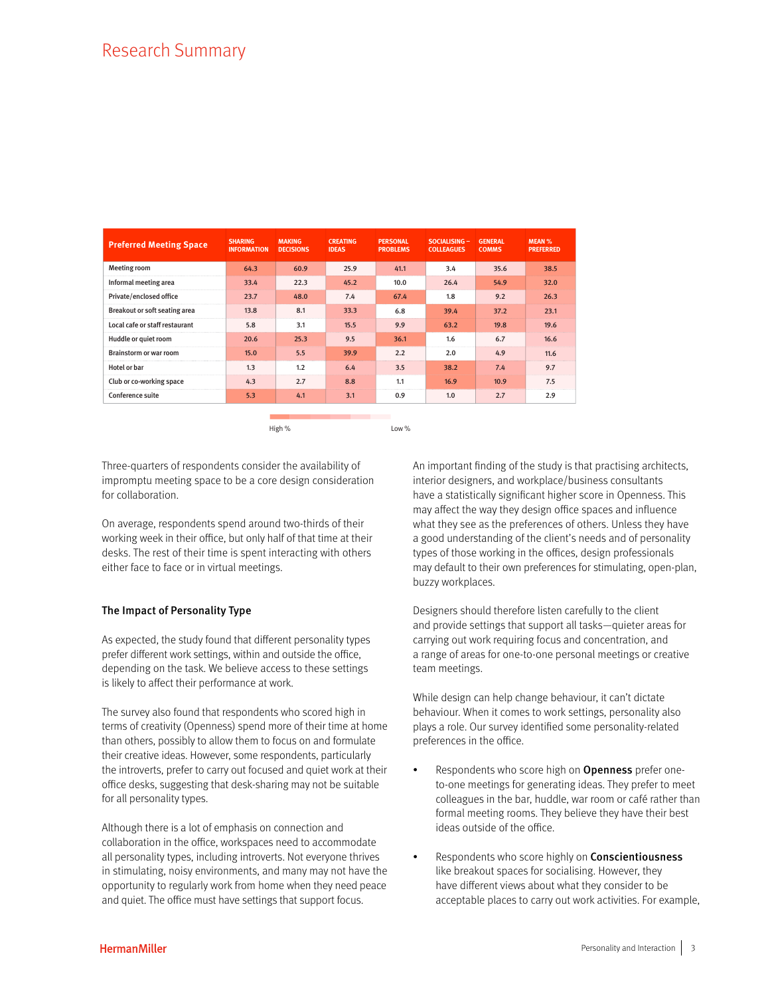## Research Summary

| <b>Preferred Meeting Space</b> | <b>SHARING</b><br><b>INFORMATION</b> | <b>MAKING</b><br><b>DECISIONS</b> | <b>CREATING</b><br><b>IDEAS</b> | <b>PERSONAL</b><br><b>PROBLEMS</b> | SOCIALISING -<br><b>COLLEAGUES</b> | <b>GENERAL</b><br><b>COMMS</b> | <b>MEAN %</b><br><b>PREFERRED</b> |
|--------------------------------|--------------------------------------|-----------------------------------|---------------------------------|------------------------------------|------------------------------------|--------------------------------|-----------------------------------|
| Meeting room                   | 64.3                                 | 60.9                              | 25.9                            | 41.1                               | 3.4                                | 35.6                           | 38.5                              |
| Informal meeting area          | 33.4                                 | 22.3                              | 45.2                            | 10.0                               | 26.4                               | 54.9                           | 32.0                              |
| Private/enclosed office        | 23.7                                 | 48.0                              | 7.4                             | 67.4                               | 1.8                                | 9.2                            | 26.3                              |
| Breakout or soft seating area  | 13.8                                 | 8.1                               | 33.3                            | 6.8                                | 39.4                               | 37.2                           | 23.1                              |
| Local cafe or staff restaurant | 5.8                                  | 3.1                               | 15.5                            | 9.9                                | 63.2                               | 19.8                           | 19.6                              |
| Huddle or quiet room           | 20.6                                 | 25.3                              | 9.5                             | 36.1                               | 1.6                                | 6.7                            | 16.6                              |
| Brainstorm or war room         | 15.0                                 | 5.5                               | 39.9                            | 2.2                                | 2.0                                | 4.9                            | 11.6                              |
| Hotel or bar                   | 1.3                                  | 1.2                               | 6.4                             | 3.5                                | 38.2                               | 7.4                            | 9.7                               |
| Club or co-working space       | 4.3                                  | 2.7                               | 8.8                             | 1.1                                | 16.9                               | 10.9                           | 7.5                               |
| <b>Conference suite</b>        | 5.3                                  | 4.1                               | 3.1                             | 0.9                                | 1.0                                | 2.7                            | 2.9                               |
|                                |                                      |                                   |                                 |                                    |                                    |                                |                                   |

High % Low %

Three-quarters of respondents consider the availability of impromptu meeting space to be a core design consideration for collaboration.

On average, respondents spend around two-thirds of their working week in their office, but only half of that time at their desks. The rest of their time is spent interacting with others either face to face or in virtual meetings.

#### The Impact of Personality Type

As expected, the study found that different personality types prefer different work settings, within and outside the office, depending on the task. We believe access to these settings is likely to affect their performance at work.

The survey also found that respondents who scored high in terms of creativity (Openness) spend more of their time at home than others, possibly to allow them to focus on and formulate their creative ideas. However, some respondents, particularly the introverts, prefer to carry out focused and quiet work at their office desks, suggesting that desk-sharing may not be suitable for all personality types.

Although there is a lot of emphasis on connection and collaboration in the office, workspaces need to accommodate all personality types, including introverts. Not everyone thrives in stimulating, noisy environments, and many may not have the opportunity to regularly work from home when they need peace and quiet. The office must have settings that support focus.

An important finding of the study is that practising architects, interior designers, and workplace/business consultants have a statistically significant higher score in Openness. This may affect the way they design office spaces and influence what they see as the preferences of others. Unless they have a good understanding of the client's needs and of personality types of those working in the offices, design professionals may default to their own preferences for stimulating, open-plan, buzzy workplaces.

Designers should therefore listen carefully to the client and provide settings that support all tasks—quieter areas for carrying out work requiring focus and concentration, and a range of areas for one-to-one personal meetings or creative team meetings.

While design can help change behaviour, it can't dictate behaviour. When it comes to work settings, personality also plays a role. Our survey identified some personality-related preferences in the office.

- Respondents who score high on **Openness** prefer oneto-one meetings for generating ideas. They prefer to meet colleagues in the bar, huddle, war room or café rather than formal meeting rooms. They believe they have their best ideas outside of the office.
- Respondents who score highly on **Conscientiousness** like breakout spaces for socialising. However, they have different views about what they consider to be acceptable places to carry out work activities. For example,